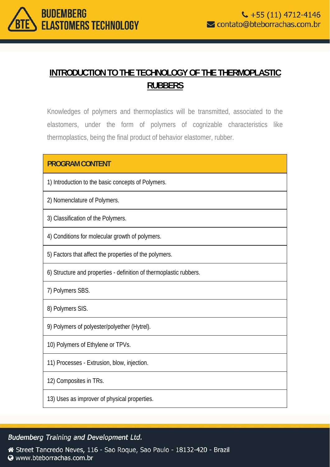

# **INTRODUCTION TO THE TECHNOLOGY OF THE THERMOPLASTIC RUBBERS**

Knowledges of polymers and thermoplastics will be transmitted, associated to the elastomers, under the form of polymers of cognizable characteristics like thermoplastics, being the final product of behavior elastomer, rubber.

## **PROGRAM CONTENT**

1) Introduction to the basic concepts of Polymers.

2) Nomenclature of Polymers.

3) Classification of the Polymers.

4) Conditions for molecular growth of polymers.

5) Factors that affect the properties of the polymers.

6) Structure and properties - definition of thermoplastic rubbers.

7) Polymers SBS.

8) Polymers SIS.

9) Polymers of polyester/polyether (Hytrel).

10) Polymers of Ethylene or TPVs.

11) Processes - Extrusion, blow, injection.

12) Composites in TRs.

13) Uses as improver of physical properties.

#### **Budemberg Training and Development Ltd.**

Street Tancredo Neves, 116 - Sao Roque, Sao Paulo - 18132-420 - Brazil Www.bteborrachas.com.br